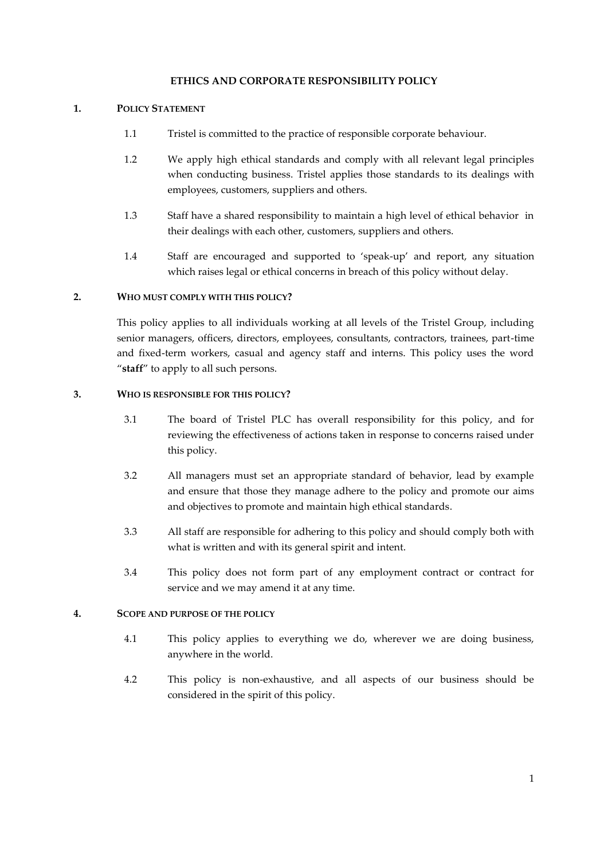### **ETHICS AND CORPORATE RESPONSIBILITY POLICY**

## **1. POLICY STATEMENT**

- 1.1 Tristel is committed to the practice of responsible corporate behaviour.
- 1.2 We apply high ethical standards and comply with all relevant legal principles when conducting business. Tristel applies those standards to its dealings with employees, customers, suppliers and others.
- 1.3 Staff have a shared responsibility to maintain a high level of ethical behavior in their dealings with each other, customers, suppliers and others.
- 1.4 Staff are encouraged and supported to 'speak-up' and report, any situation which raises legal or ethical concerns in breach of this policy without delay.

#### **2. WHO MUST COMPLY WITH THIS POLICY?**

This policy applies to all individuals working at all levels of the Tristel Group, including senior managers, officers, directors, employees, consultants, contractors, trainees, part-time and fixed-term workers, casual and agency staff and interns. This policy uses the word "**staff**" to apply to all such persons.

#### **3. WHO IS RESPONSIBLE FOR THIS POLICY?**

- 3.1 The board of Tristel PLC has overall responsibility for this policy, and for reviewing the effectiveness of actions taken in response to concerns raised under this policy.
- 3.2 All managers must set an appropriate standard of behavior, lead by example and ensure that those they manage adhere to the policy and promote our aims and objectives to promote and maintain high ethical standards.
- 3.3 All staff are responsible for adhering to this policy and should comply both with what is written and with its general spirit and intent.
- 3.4 This policy does not form part of any employment contract or contract for service and we may amend it at any time.

## **4. SCOPE AND PURPOSE OF THE POLICY**

- 4.1 This policy applies to everything we do, wherever we are doing business, anywhere in the world.
- 4.2 This policy is non-exhaustive, and all aspects of our business should be considered in the spirit of this policy.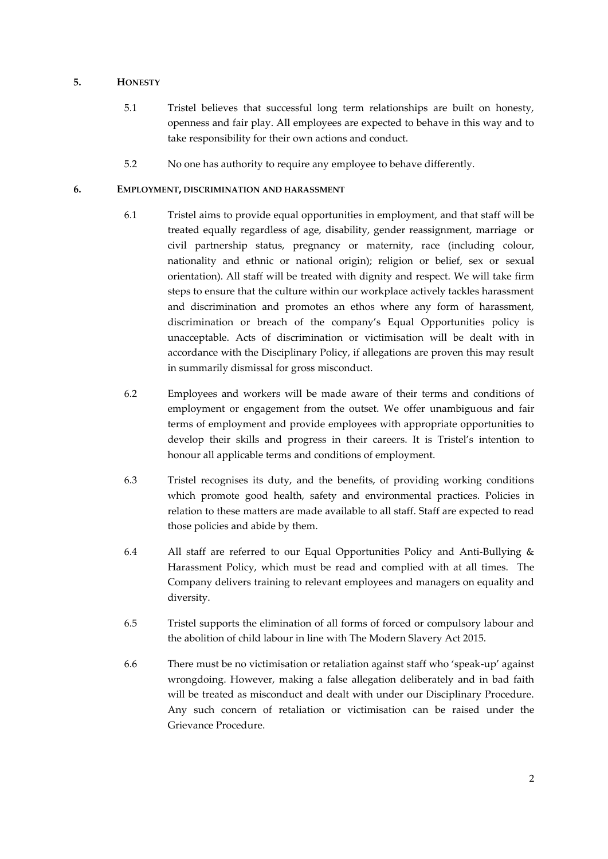# **5. HONESTY**

- 5.1 Tristel believes that successful long term relationships are built on honesty, openness and fair play. All employees are expected to behave in this way and to take responsibility for their own actions and conduct.
- 5.2 No one has authority to require any employee to behave differently.

# **6. EMPLOYMENT, DISCRIMINATION AND HARASSMENT**

- 6.1 Tristel aims to provide equal opportunities in employment, and that staff will be treated equally regardless of age, disability, gender reassignment, marriage or civil partnership status, pregnancy or maternity, race (including colour, nationality and ethnic or national origin); religion or belief, sex or sexual orientation). All staff will be treated with dignity and respect. We will take firm steps to ensure that the culture within our workplace actively tackles harassment and discrimination and promotes an ethos where any form of harassment, discrimination or breach of the company's Equal Opportunities policy is unacceptable. Acts of discrimination or victimisation will be dealt with in accordance with the Disciplinary Policy, if allegations are proven this may result in summarily dismissal for gross misconduct.
- 6.2 Employees and workers will be made aware of their terms and conditions of employment or engagement from the outset. We offer unambiguous and fair terms of employment and provide employees with appropriate opportunities to develop their skills and progress in their careers. It is Tristel's intention to honour all applicable terms and conditions of employment.
- 6.3 Tristel recognises its duty, and the benefits, of providing working conditions which promote good health, safety and environmental practices. Policies in relation to these matters are made available to all staff. Staff are expected to read those policies and abide by them.
- 6.4 All staff are referred to our Equal Opportunities Policy and Anti-Bullying & Harassment Policy, which must be read and complied with at all times. The Company delivers training to relevant employees and managers on equality and diversity.
- 6.5 Tristel supports the elimination of all forms of forced or compulsory labour and the abolition of child labour in line with The Modern Slavery Act 2015.
- 6.6 There must be no victimisation or retaliation against staff who 'speak-up' against wrongdoing. However, making a false allegation deliberately and in bad faith will be treated as misconduct and dealt with under our Disciplinary Procedure. Any such concern of retaliation or victimisation can be raised under the Grievance Procedure.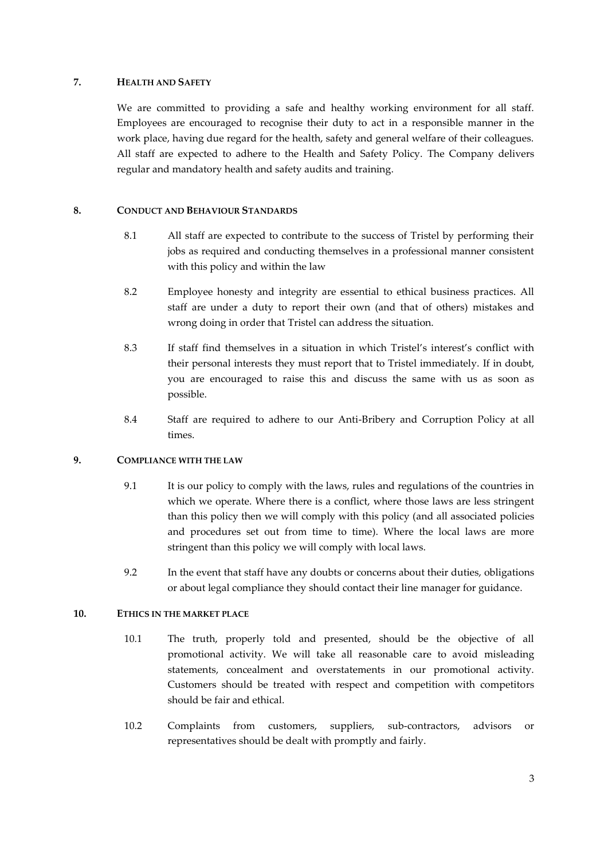## **7. HEALTH AND SAFETY**

We are committed to providing a safe and healthy working environment for all staff. Employees are encouraged to recognise their duty to act in a responsible manner in the work place, having due regard for the health, safety and general welfare of their colleagues. All staff are expected to adhere to the Health and Safety Policy. The Company delivers regular and mandatory health and safety audits and training.

## **8. CONDUCT AND BEHAVIOUR STANDARDS**

- 8.1 All staff are expected to contribute to the success of Tristel by performing their jobs as required and conducting themselves in a professional manner consistent with this policy and within the law
- 8.2 Employee honesty and integrity are essential to ethical business practices. All staff are under a duty to report their own (and that of others) mistakes and wrong doing in order that Tristel can address the situation.
- 8.3 If staff find themselves in a situation in which Tristel's interest's conflict with their personal interests they must report that to Tristel immediately. If in doubt, you are encouraged to raise this and discuss the same with us as soon as possible.
- 8.4 Staff are required to adhere to our Anti-Bribery and Corruption Policy at all times.

#### **9. COMPLIANCE WITH THE LAW**

- 9.1 It is our policy to comply with the laws, rules and regulations of the countries in which we operate. Where there is a conflict, where those laws are less stringent than this policy then we will comply with this policy (and all associated policies and procedures set out from time to time). Where the local laws are more stringent than this policy we will comply with local laws.
- 9.2 In the event that staff have any doubts or concerns about their duties, obligations or about legal compliance they should contact their line manager for guidance.

## **10. ETHICS IN THE MARKET PLACE**

- 10.1 The truth, properly told and presented, should be the objective of all promotional activity. We will take all reasonable care to avoid misleading statements, concealment and overstatements in our promotional activity. Customers should be treated with respect and competition with competitors should be fair and ethical.
- 10.2 Complaints from customers, suppliers, sub-contractors, advisors or representatives should be dealt with promptly and fairly.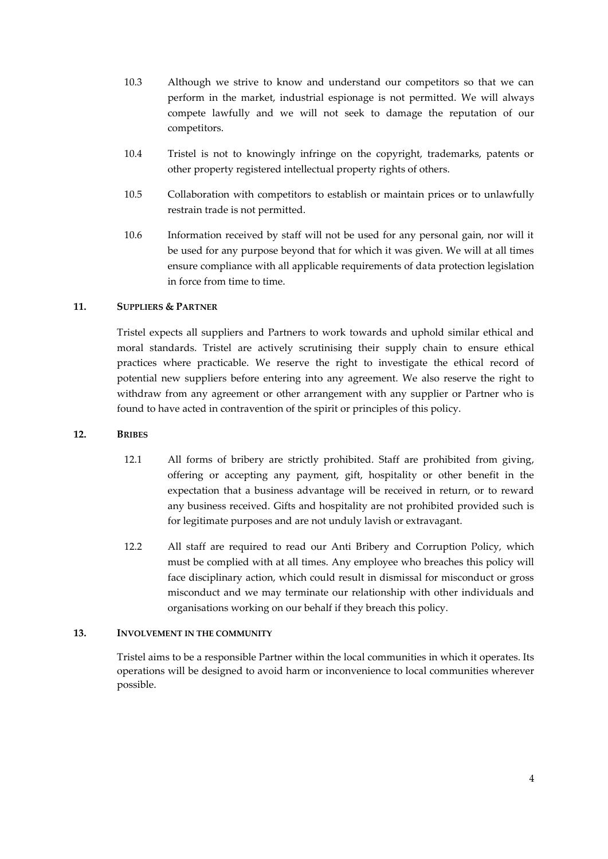- 10.3 Although we strive to know and understand our competitors so that we can perform in the market, industrial espionage is not permitted. We will always compete lawfully and we will not seek to damage the reputation of our competitors.
- 10.4 Tristel is not to knowingly infringe on the copyright, trademarks, patents or other property registered intellectual property rights of others.
- 10.5 Collaboration with competitors to establish or maintain prices or to unlawfully restrain trade is not permitted.
- 10.6 Information received by staff will not be used for any personal gain, nor will it be used for any purpose beyond that for which it was given. We will at all times ensure compliance with all applicable requirements of data protection legislation in force from time to time.

# **11. SUPPLIERS & PARTNER**

Tristel expects all suppliers and Partners to work towards and uphold similar ethical and moral standards. Tristel are actively scrutinising their supply chain to ensure ethical practices where practicable. We reserve the right to investigate the ethical record of potential new suppliers before entering into any agreement. We also reserve the right to withdraw from any agreement or other arrangement with any supplier or Partner who is found to have acted in contravention of the spirit or principles of this policy.

# **12. BRIBES**

- 12.1 All forms of bribery are strictly prohibited. Staff are prohibited from giving, offering or accepting any payment, gift, hospitality or other benefit in the expectation that a business advantage will be received in return, or to reward any business received. Gifts and hospitality are not prohibited provided such is for legitimate purposes and are not unduly lavish or extravagant.
- 12.2 All staff are required to read our Anti Bribery and Corruption Policy, which must be complied with at all times. Any employee who breaches this policy will face disciplinary action, which could result in dismissal for misconduct or gross misconduct and we may terminate our relationship with other individuals and organisations working on our behalf if they breach this policy.

### **13. INVOLVEMENT IN THE COMMUNITY**

Tristel aims to be a responsible Partner within the local communities in which it operates. Its operations will be designed to avoid harm or inconvenience to local communities wherever possible.